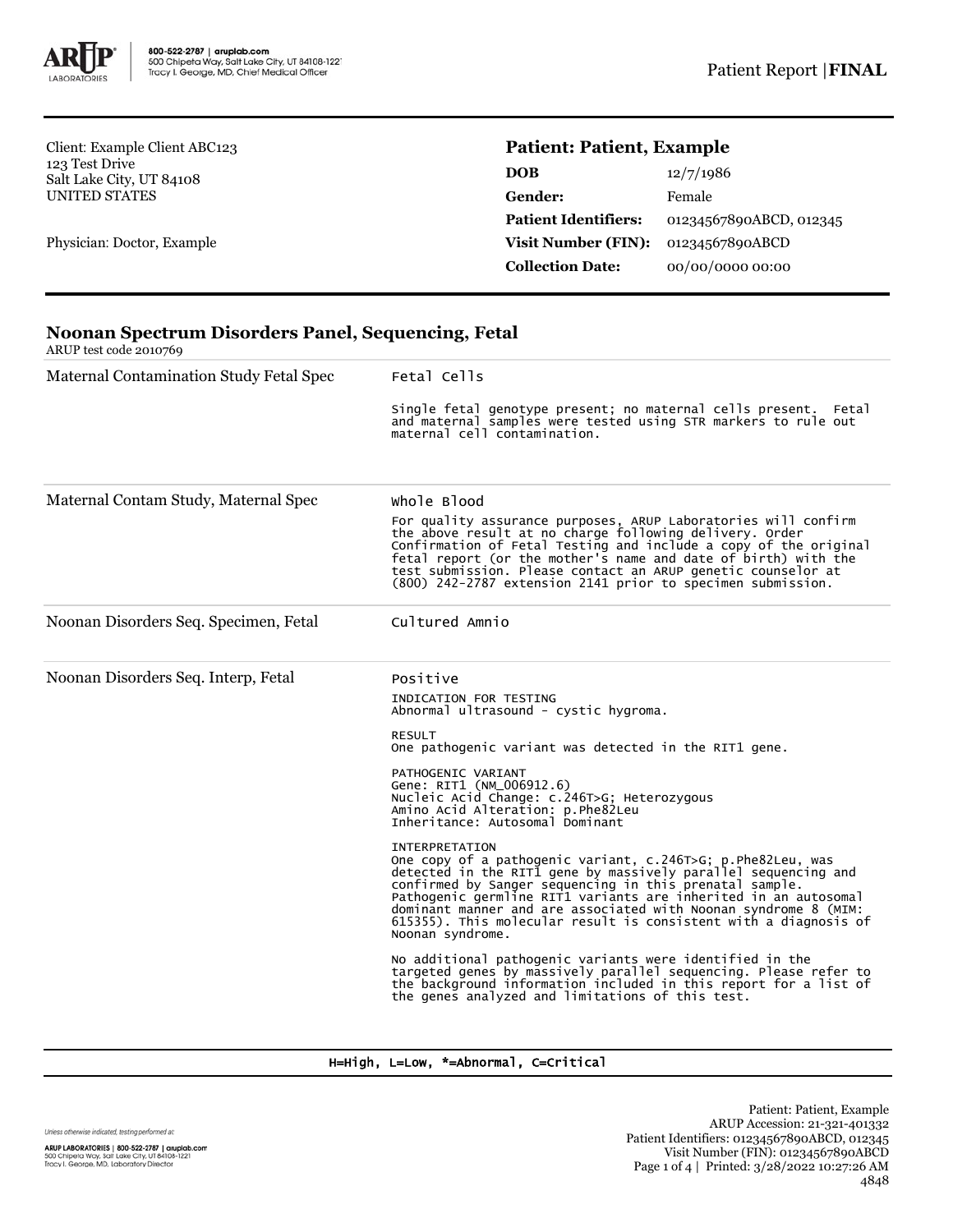

Client: Example Client ABC123 123 Test Drive Salt Lake City, UT 84108 UNITED STATES

Physician: Doctor, Example

# **Patient: Patient, Example**

| <b>DOB</b>                  | 12/7/1986               |  |
|-----------------------------|-------------------------|--|
| <b>Gender:</b>              | Female                  |  |
| <b>Patient Identifiers:</b> | 01234567890ABCD, 012345 |  |
| Visit Number (FIN):         | 01234567890ABCD         |  |
| <b>Collection Date:</b>     | 00/00/0000 00:00        |  |

| <b>Noonan Spectrum Disorders Panel, Sequencing, Fetal</b><br>ARUP test code 2010769 |                                                                                                                                                                                                                                                                                                                                                                                                                                                 |  |  |  |
|-------------------------------------------------------------------------------------|-------------------------------------------------------------------------------------------------------------------------------------------------------------------------------------------------------------------------------------------------------------------------------------------------------------------------------------------------------------------------------------------------------------------------------------------------|--|--|--|
| Maternal Contamination Study Fetal Spec                                             | Fetal Cells                                                                                                                                                                                                                                                                                                                                                                                                                                     |  |  |  |
|                                                                                     | Single fetal genotype present; no maternal cells present. Fetal<br>and maternal samples were tested using STR markers to rule out<br>maternal cell contamination.                                                                                                                                                                                                                                                                               |  |  |  |
| Maternal Contam Study, Maternal Spec                                                | whole Blood                                                                                                                                                                                                                                                                                                                                                                                                                                     |  |  |  |
|                                                                                     | For quality assurance purposes, ARUP Laboratories will confirm<br>the above result at no charge following delivery. Order<br>Confirmation of Fetal Testing and include a copy of the original<br>fetal report (or the mother's name and date of birth) with the<br>test submission. Please contact an ARUP genetic counselor at<br>(800) 242-2787 extension 2141 prior to specimen submission.                                                  |  |  |  |
| Noonan Disorders Seq. Specimen, Fetal                                               | Cultured Amnio                                                                                                                                                                                                                                                                                                                                                                                                                                  |  |  |  |
| Noonan Disorders Seq. Interp, Fetal                                                 | Positive                                                                                                                                                                                                                                                                                                                                                                                                                                        |  |  |  |
|                                                                                     | INDICATION FOR TESTING<br>Abnormal ultrasound - cystic hygroma.                                                                                                                                                                                                                                                                                                                                                                                 |  |  |  |
|                                                                                     | <b>RESULT</b><br>One pathogenic variant was detected in the RIT1 gene.                                                                                                                                                                                                                                                                                                                                                                          |  |  |  |
|                                                                                     | PATHOGENIC VARIANT<br>Gene: RIT1 (NM_006912.6)<br>Nucleic Acid Change: c.246T>G; Heterozygous<br>Amino Acid Alteration: p.Phe82Leu<br>Inheritance: Autosomal Dominant                                                                                                                                                                                                                                                                           |  |  |  |
|                                                                                     | <b>INTERPRETATION</b><br>One copy of a pathogenic variant, c.246T>G; p.Phe82Leu, was<br>detected in the RITI gene by massively parallel sequencing and<br>confirmed by Sanger sequencing in this prenatal sample.<br>Pathogenic germline RIT1 variants are inherited in an autosomal<br>dominant manner and are associated with Noonan syndrome 8 (MIM:<br>615355). This molecular result is consistent with a diagnosis of<br>Noonan syndrome. |  |  |  |
|                                                                                     | No additional pathogenic variants were identified in the<br>targeted genes by massively parallel sequencing. Please refer to<br>the background information included in this report for a list of<br>the genes analyzed and limitations of this test.                                                                                                                                                                                            |  |  |  |

H=High, L=Low, \*=Abnormal, C=Critical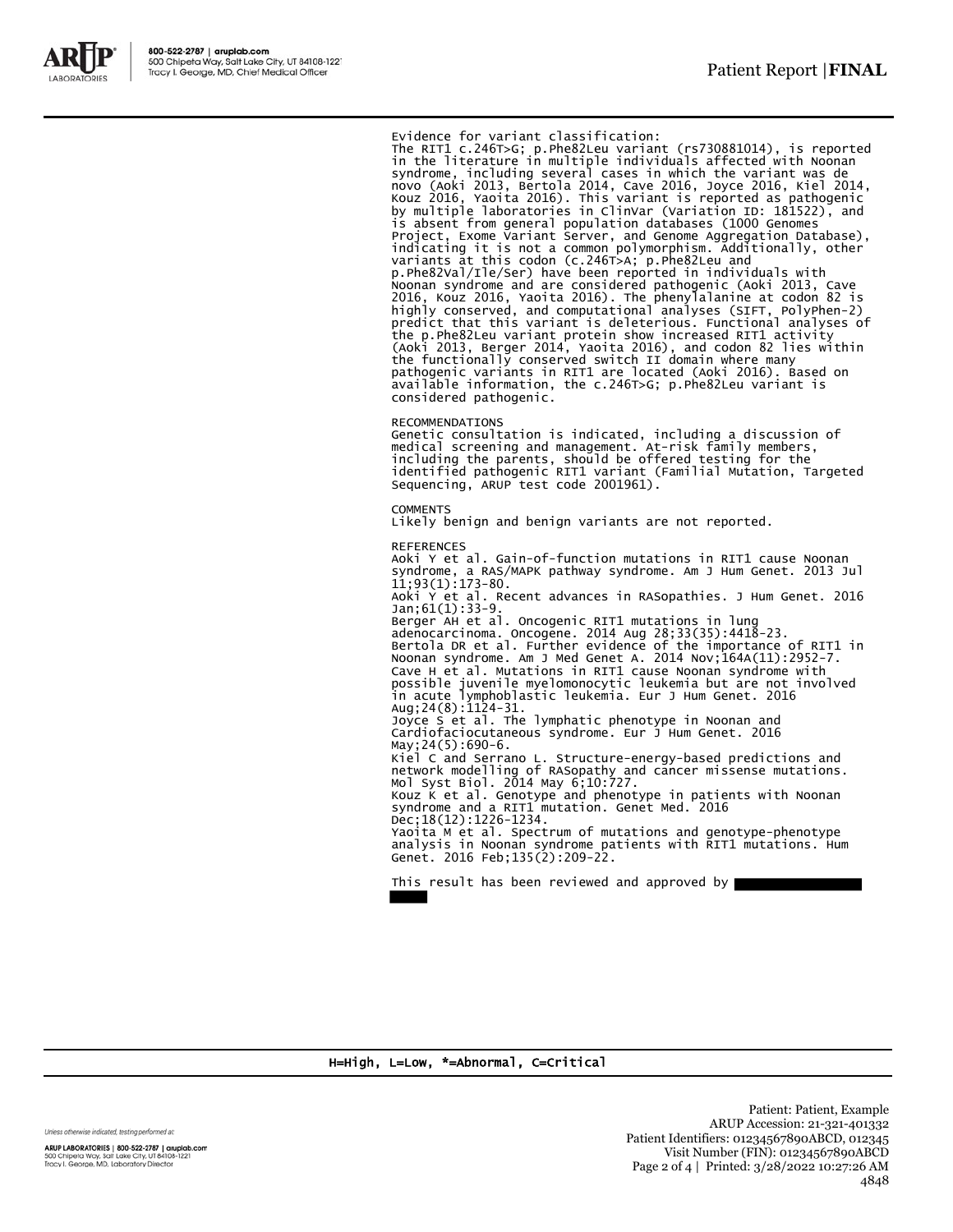

Evidence for variant classification: The RIT1 c.246T>G; p.Phe82Leu variant (rs730881014), is reported in the literature in multiple individuals affected with Noonan syndrome, including several cases in which the variant was de<br>novo (Aoki 2013, Bertola 2014, Cave 2016, Joyce 2016, Kiel 2014,<br>Kouz 2016, Yaoita 2016). This variant is reported as pathogenic<br>by multiple laboratories in Cli is absent from general population databases (1000 Genomes<br>Project, Exome Variant Server, and Genome Aggregation Database),<br>indicating it is not a common polymorphism. Additionally, other<br>variants at this codon (c.246T>A; p p.Phe82Val/Ile/Ser) have been reported in individuals with Noonan syndrome and are considered pathogenic (Aoki 2013, Cave 2016, Kouz 2016, Yaoita 2016). The phenylalanine at codon 82 is highly conserved, and computational analyses (SIFT, PolyPhen-2) predict that this variant is deleterious. Functional analyses of the p.Phe82Leu variant protein show increased RIT1 activity (Aoki 2013, Berger 2014, Yaoita 2016), and codon 82 lies within the functionally conserved switch II domain where many pathogenic variants in RIT1 are located (Aoki 2016). Based on available information, the c.246T>G; p.Phe82Leu variant is considered pathogenic.

#### RECOMMENDATIONS

Genetic consultation is indicated, including a discussion of medical screening and management. At-risk family members, including the parents, should be offered testing for the identified pathogenic RIT1 variant (Familial Mutation, Targeted Sequencing, ARUP test code 2001961).

#### **COMMENTS**

Likely benign and benign variants are not reported.

REFERENCES Aoki Y et al. Gain-of-function mutations in RIT1 cause Noonan syndrome, a RAS/MAPK pathway syndrome. Am J Hum Genet. 2013 Jul 11;93(1):173-80. Aoki Y et al. Recent advances in RASopathies. J Hum Genet. 2016 Jan;61(1):33-9. Berger AH et al. Oncogenic RIT1 mutations in lung<br>adenocarcinoma. Oncogene. 2014 Aug 28;33(35):4418-23.<br>Bertola DR et al. Further evidence of the importance of RIT1 in<br>Noonan syndrome. Am J Med Genet A. 2014 Nov;164A(11):2 Cave H et al. Mutations in RIT1 cause Noonan syndrome with possible juvenile myelomonocytic leukemia but are not involved in acute lymphoblastic leukemia. Eur J Hum Genet. 2016 Aug;24(8):1124-31. Joyce S et al. The lymphatic phenotype in Noonan and Cardiofaciocutaneous syndrome. Eur J Hum Genet. 2016 May;24(5):690-6. Kiel C and Serrano L. Structure-energy-based predictions and network modelling of RASopathy and cancer missense mutations. Mol Syst Biol. 2014 May 6;10:727. Kouz K et al. Genotype and phenotype in patients with Noonan syndrome and a RIT1 mutation. Genet Med. 2016 Dec;18(12):1226-1234. Yaoita M et al. Spectrum of mutations and genotype-phenotype analysis in Noonan syndrome patients with RIT1 mutations. Hum Genet. 2016 Feb;135(2):209-22.

This result has been reviewed and approved by

### H=High, L=Low, \*=Abnormal, C=Critical

Unless otherwise indicated, testing performed at:

ARUP LABORATORIES | 800-522-2787 | aruplab.com 500 Chipeta Way, Salt Lake City, UT 84108-1221<br>Tracy I. George, MD, Laboratory Director

Patient: Patient, Example ARUP Accession: 21-321-401332 Patient Identifiers: 01234567890ABCD, 012345 Visit Number (FIN): 01234567890ABCD Page 2 of 4 | Printed: 3/28/2022 10:27:26 AM 4848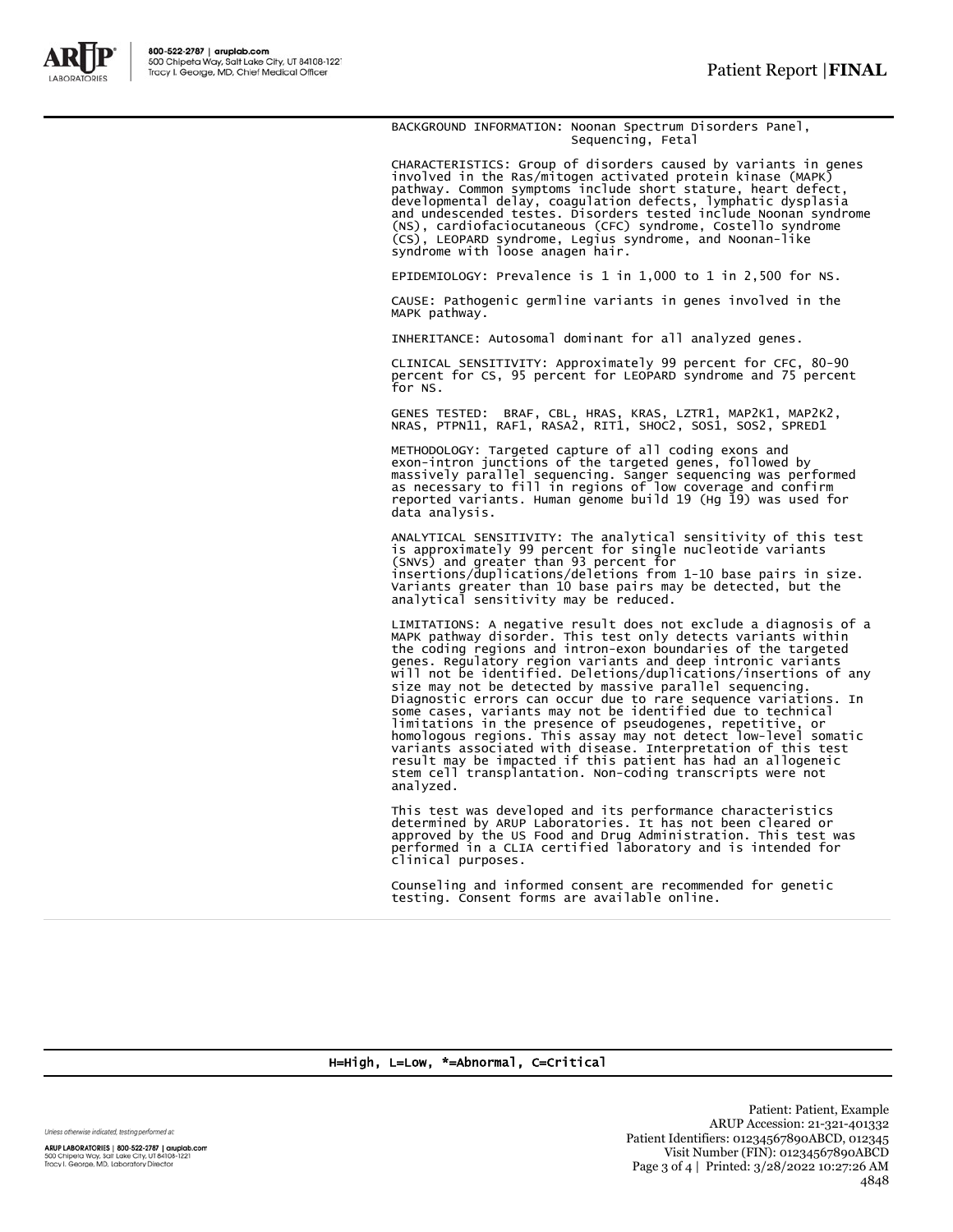

BACKGROUND INFORMATION: Noonan Spectrum Disorders Panel, Sequencing, Fetal

CHARACTERISTICS: Group of disorders caused by variants in genes<br>involved in the Ras/mitogen activated protein kinase (MAPK)<br>pathway. Common symptoms include short stature, heart defect,<br>developmental delay, coagulation def

EPIDEMIOLOGY: Prevalence is 1 in 1,000 to 1 in 2,500 for NS.

CAUSE: Pathogenic germline variants in genes involved in the MAPK pathway.

INHERITANCE: Autosomal dominant for all analyzed genes.

CLINICAL SENSITIVITY: Approximately 99 percent for CFC, 80-90 percent for CS, 95 percent for LEOPARD syndrome and 75 percent for NS.

GENES TESTED: BRAF, CBL, HRAS, KRAS, LZTR1, MAP2K1, MAP2K2,<br>NRAS, PTPN11, RAF1, RASA2, RIT1, SHOC2, SOS1, SOS2, SPRED1

METHODOLOGY: Targeted capture of all coding exons and exon-intron junctions of the targeted genes, followed by massively parallel sequencing. Sanger sequencing was performed as necessary to fill in regions of low coverage and confirm reported variants. Human genome build 19 (Hg 19) was used for data analysis.

ANALYTICAL SENSITIVITY: The analytical sensitivity of this test<br>is approximately 99 percent for single nucleotide variants<br>(SNVs) and greater than 93 percent for<br>insertions/duplications/deletions from 1-10 base pairs in si Variants greater than 10 base pairs may be detected, but the analytical sensitivity may be reduced.

LIMITATIONS: A negative result does not exclude a diagnosis of a MAPK pathway disorder. This test only detects variants within the coding regions and intron-exon boundaries of the targeted genes. Regulatory region variants and deep intronic variants<br>will not be identified. Deletions/duplications/insertions of any<br>size may not be detected by massive parallel sequenceing.<br>Diagnostic errors can occur due to rar stem cell transplantation. Non-coding transcripts were not analyzed.

This test was developed and its performance characteristics determined by ARUP Laboratories. It has not been cleared or approved by the US Food and Drug Administration. This test was performed in a CLIA certified laboratory and is intended for clinical purposes.

Counseling and informed consent are recommended for genetic testing. Consent forms are available online.

H=High, L=Low, \*=Abnormal, C=Critical

Unless otherwise indicated, testing performed at:

ARUP LABORATORIES | 800-522-2787 | aruplab.com 500 Chipeta Way, Salt Lake City, UT 84108-1221<br>Tracy I. George, MD, Laboratory Director

Patient: Patient, Example ARUP Accession: 21-321-401332 Patient Identifiers: 01234567890ABCD, 012345 Visit Number (FIN): 01234567890ABCD Page 3 of 4 | Printed: 3/28/2022 10:27:26 AM 4848